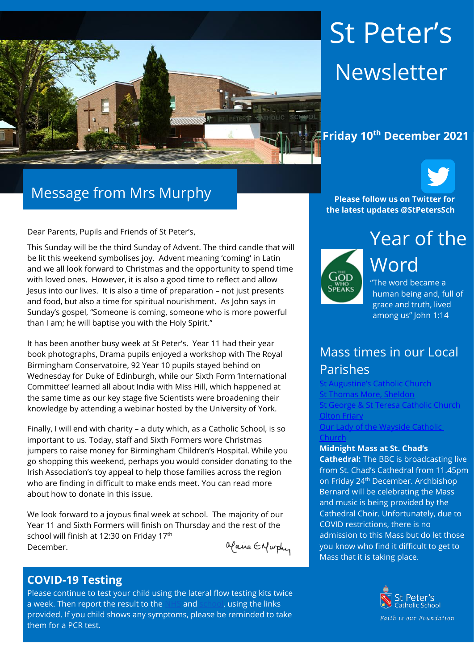

# St Peter's Newsletter

## **Friday 10th December 2021**



Dear Parents, Pupils and Friends of St Peter's,

This Sunday will be the third Sunday of Advent. The third candle that will be lit this weekend symbolises joy. Advent meaning 'coming' in Latin and we all look forward to Christmas and the opportunity to spend time with loved ones. However, it is also a good time to reflect and allow Jesus into our lives. It is also a time of preparation – not just presents and food, but also a time for spiritual nourishment. As John says in Sunday's gospel, "Someone is coming, someone who is more powerful than I am; he will baptise you with the Holy Spirit."

It has been another busy week at St Peter's. Year 11 had their year book photographs, Drama pupils enjoyed a workshop with The Royal Birmingham Conservatoire, 92 Year 10 pupils stayed behind on Wednesday for Duke of Edinburgh, while our Sixth Form 'International Committee' learned all about India with Miss Hill, which happened at the same time as our key stage five Scientists were broadening their knowledge by attending a webinar hosted by the University of York.

Finally, I will end with charity – a duty which, as a Catholic School, is so important to us. Today, staff and Sixth Formers wore Christmas jumpers to raise money for Birmingham Children's Hospital. While you go shopping this weekend, perhaps you would consider donating to the Irish Association's toy appeal to help those families across the region who are finding in difficult to make ends meet. You can read more about how to donate in this issue.

We look forward to a joyous final week at school. The majority of our Year 11 and Sixth Formers will finish on Thursday and the rest of the school will finish at 12:30 on Friday 17<sup>th</sup> December.

Maire Enfurthy

#### **COVID-19 Testing**

Please continue to test your child using the lateral flow testing kits twice a week. Then report the result to the [NHS](https://protect-eu.mimecast.com/s/FGTjCkrj2Uql2qC2sec8?domain=gov.uk) and [school,](https://protect-eu.mimecast.com/s/0JpMCl2kRSzGRzf9XFat?domain=forms.office.com) using the links provided. If you child shows any symptoms, please be reminded to take them for a PCR test.

**Please follow us on Twitter for the latest updates @StPetersSch**



Year of the Word "The word became a

human being and, full of grace and truth, lived among us" John 1:14

## Mass times in our Local Parishes

Catholic Church [St Thomas More, Sheldon](https://www.stthomasmorercchurch.com/) **[St George & St Teresa Catholic Church](https://www.catholicchurch.dorridge.uk/)** [Olton Friary](https://www.oltonfriary.org.uk/) [Our Lady of the Wayside Catholic](http://ourladyofthewaysidechurchshirley.co.uk/) 

#### **[Church](http://ourladyofthewaysidechurchshirley.co.uk/)**

#### **Midnight Mass at St. Chad's**

**Cathedral:** The BBC is broadcasting live from St. Chad's Cathedral from 11.45pm on Friday 24th December. Archbishop Bernard will be celebrating the Mass and music is being provided by the Cathedral Choir. Unfortunately, due to COVID restrictions, there is no admission to this Mass but do let those you know who find it difficult to get to Mass that it is taking place.

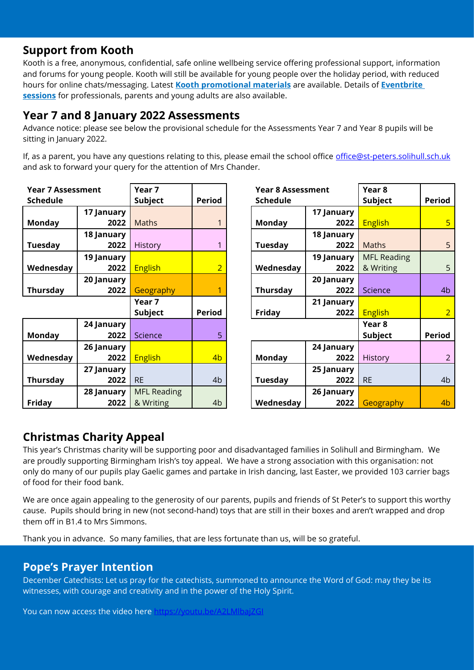## **Support from Kooth**

Kooth is a free, anonymous, confidential, safe online wellbeing service offering professional support, information and forums for young people. Kooth will still be available for young people over the holiday period, with reduced hours for online chats/messaging. Latest **[Kooth promotional materials](https://protect-eu.mimecast.com/s/PBK4CAMX6tEEmxiB6p3s?domain=lnks.gd)** are available. Details of **[Eventbrite](https://protect-eu.mimecast.com/s/AsCxCBPXrt88ZxtQ0qrt?domain=lnks.gd)  [sessions](https://protect-eu.mimecast.com/s/AsCxCBPXrt88ZxtQ0qrt?domain=lnks.gd)** for professionals, parents and young adults are also available.

## **Year 7 and 8 January 2022 Assessments**

Advance notice: please see below the provisional schedule for the Assessments Year 7 and Year 8 pupils will be sitting in January 2022.

If, as a parent, you have any questions relating to this, please email the school office [office@st-peters.solihull.sch.uk](mailto:office@st-peters.solihull.sch.uk) and ask to forward your query for the attention of Mrs Chander.

| <b>Year 7 Assessment</b> |            | Year 7             |                |
|--------------------------|------------|--------------------|----------------|
| <b>Schedule</b>          |            | <b>Subject</b>     | <b>Period</b>  |
|                          | 17 January |                    |                |
| <b>Monday</b>            | 2022       | <b>Maths</b>       | 1              |
|                          | 18 January |                    |                |
| <b>Tuesday</b>           | 2022       | History            | 1              |
|                          | 19 January |                    |                |
| Wednesday                | 2022       | <b>English</b>     | $\overline{2}$ |
|                          | 20 January |                    |                |
| <b>Thursday</b>          | 2022       | Geography          | 1              |
|                          |            | Year 7             |                |
|                          |            | Subject            | <b>Period</b>  |
|                          | 24 January |                    |                |
| <b>Monday</b>            | 2022       | <b>Science</b>     | 5              |
|                          | 26 January |                    |                |
| Wednesday                | 2022       | <b>English</b>     | 4b             |
|                          | 27 January |                    |                |
| <b>Thursday</b>          | 2022       | <b>RE</b>          | 4b             |
|                          |            |                    |                |
|                          | 28 January | <b>MFL Reading</b> |                |

| <b>Year 8 Assessment</b> |            | Year 8             |                |
|--------------------------|------------|--------------------|----------------|
| <b>Schedule</b>          |            | <b>Subject</b>     | <b>Period</b>  |
|                          | 17 January |                    |                |
| <b>Monday</b>            | 2022       | <b>English</b>     | 5              |
|                          | 18 January |                    |                |
| <b>Tuesday</b>           | 2022       | <b>Maths</b>       | 5              |
|                          | 19 January | <b>MFL Reading</b> |                |
| Wednesday                | 2022       | & Writing          | 5              |
|                          | 20 January |                    |                |
| <b>Thursday</b>          | 2022       | Science            | 4 <sub>b</sub> |
|                          | 21 January |                    |                |
| <b>Friday</b>            | 2022       | <b>English</b>     | $\overline{2}$ |
|                          |            | Year 8             |                |
|                          |            | <b>Subject</b>     | <b>Period</b>  |
|                          | 24 January |                    |                |
| <b>Monday</b>            | 2022       | <b>History</b>     | $\overline{2}$ |
|                          | 25 January |                    |                |
| <b>Tuesday</b>           | 2022       | <b>RE</b>          | 4 <sub>b</sub> |
|                          | 26 January |                    |                |
| Wednesday                | 2022       | Geography          | 4b             |

## **Christmas Charity Appeal**

This year's Christmas charity will be supporting poor and disadvantaged families in Solihull and Birmingham. We are proudly supporting Birmingham Irish's toy appeal. We have a strong association with this organisation: not only do many of our pupils play Gaelic games and partake in Irish dancing, last Easter, we provided 103 carrier bags of food for their food bank.

We are once again appealing to the generosity of our parents, pupils and friends of St Peter's to support this worthy cause. Pupils should bring in new (not second-hand) toys that are still in their boxes and aren't wrapped and drop them off in B1.4 to Mrs Simmons.

Thank you in advance. So many families, that are less fortunate than us, will be so grateful.

## **Pope's Prayer Intention**

December Catechists: Let us pray for the catechists, summoned to announce the Word of God: may they be its witnesses, with courage and creativity and in the power of the Holy Spirit.

You can now access the video here https://youtu.be/A2LMlbaj7GL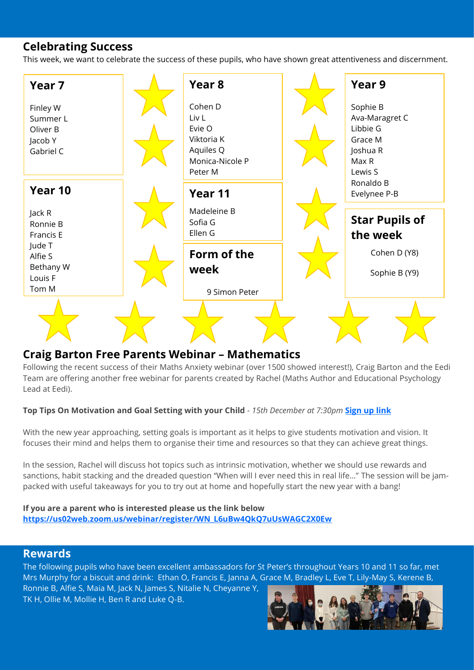## **Celebrating Success**

This week, we want to celebrate the success of these pupils, who have shown great attentiveness and discernment.



#### **Craig Barton Free Parents Webinar – Mathematics**

Following the recent success of their Maths Anxiety webinar (over 1500 showed interest!), Craig Barton and the Eedi Team are offering another free webinar for parents created by Rachel (Maths Author and Educational Psychology Lead at Eedi).

#### **Top Tips On Motivation and Goal Setting with your Child** - *15th December at 7:30pm* **[Sign up](https://protect-eu.mimecast.com/s/jKMiCPzKji3rmlSzeBuG?domain=diagnosticquestions.us14.list-manage.com) link**

With the new year approaching, setting goals is important as it helps to give students motivation and vision. It focuses their mind and helps them to organise their time and resources so that they can achieve great things.

In the session, Rachel will discuss hot topics such as intrinsic motivation, whether we should use rewards and sanctions, habit stacking and the dreaded question "When will I ever need this in real life…" The session will be jampacked with useful takeaways for you to try out at home and hopefully start the new year with a bang!

#### **If you are a parent who is interested please us the link below [https://us02web.zoom.us/webinar/register/WN\\_L6uBw4QkQ7uUsWAGC2X0Ew](https://protect-eu.mimecast.com/s/j_qlCQ6KkUoEqxCP6keV?domain=diagnosticquestions.us14.list-manage.com)**

#### **Rewards**

The following pupils who have been excellent ambassadors for St Peter's throughout Years 10 and 11 so far, met Mrs Murphy for a biscuit and drink: Ethan O, Francis E, Janna A, Grace M, Bradley L, Eve T, Lily-May S, Kerene B, Ronnie B, Alfie S, Maia M, Jack N, James S, Nitalie N, Cheyanne Y,

TK H, Ollie M, Mollie H, Ben R and Luke Q-B.

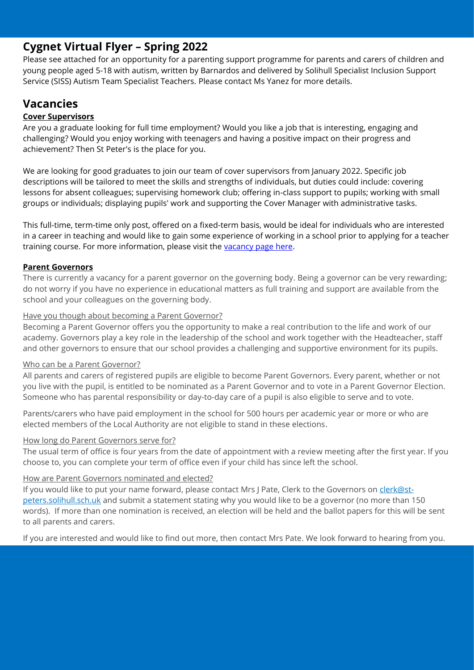## **Cygnet Virtual Flyer – Spring 2022**

Please see attached for an opportunity for a parenting support programme for parents and carers of children and young people aged 5-18 with autism, written by Barnardos and delivered by Solihull Specialist Inclusion Support Service (SISS) Autism Team Specialist Teachers. Please contact Ms Yanez for more details.

## **Vacancies**

#### **Cover Supervisors**

Are you a graduate looking for full time employment? Would you like a job that is interesting, engaging and challenging? Would you enjoy working with teenagers and having a positive impact on their progress and achievement? Then St Peter's is the place for you.

We are looking for good graduates to join our team of cover supervisors from January 2022. Specific job descriptions will be tailored to meet the skills and strengths of individuals, but duties could include: covering lessons for absent colleagues; supervising homework club; offering in-class support to pupils; working with small groups or individuals; displaying pupils' work and supporting the Cover Manager with administrative tasks.

This full-time, term-time only post, offered on a fixed-term basis, would be ideal for individuals who are interested in a career in teaching and would like to gain some experience of working in a school prior to applying for a teacher training course. For more information, please visit the [vacancy page here.](https://www.st-peters.solihull.sch.uk/vacancies/cover-supervisor-2/)

#### **Parent Governors**

There is currently a vacancy for a parent governor on the governing body. Being a governor can be very rewarding; do not worry if you have no experience in educational matters as full training and support are available from the school and your colleagues on the governing body.

#### Have you though about becoming a Parent Governor?

Becoming a Parent Governor offers you the opportunity to make a real contribution to the life and work of our academy. Governors play a key role in the leadership of the school and work together with the Headteacher, staff and other governors to ensure that our school provides a challenging and supportive environment for its pupils.

#### Who can be a Parent Governor?

All parents and carers of registered pupils are eligible to become Parent Governors. Every parent, whether or not you live with the pupil, is entitled to be nominated as a Parent Governor and to vote in a Parent Governor Election. Someone who has parental responsibility or day-to-day care of a pupil is also eligible to serve and to vote.

Parents/carers who have paid employment in the school for 500 hours per academic year or more or who are elected members of the Local Authority are not eligible to stand in these elections.

#### How long do Parent Governors serve for?

The usual term of office is four years from the date of appointment with a review meeting after the first year. If you choose to, you can complete your term of office even if your child has since left the school.

#### How are Parent Governors nominated and elected?

If you would like to put your name forward, please contact Mrs J Pate, Clerk to the Governors on [clerk@st](mailto:clerk@st-peters.solihull.sch.uk)[peters.solihull.sch.uk](mailto:clerk@st-peters.solihull.sch.uk) and submit a statement stating why you would like to be a governor (no more than 150 words). If more than one nomination is received, an election will be held and the ballot papers for this will be sent to all parents and carers.

If you are interested and would like to find out more, then contact Mrs Pate. We look forward to hearing from you.